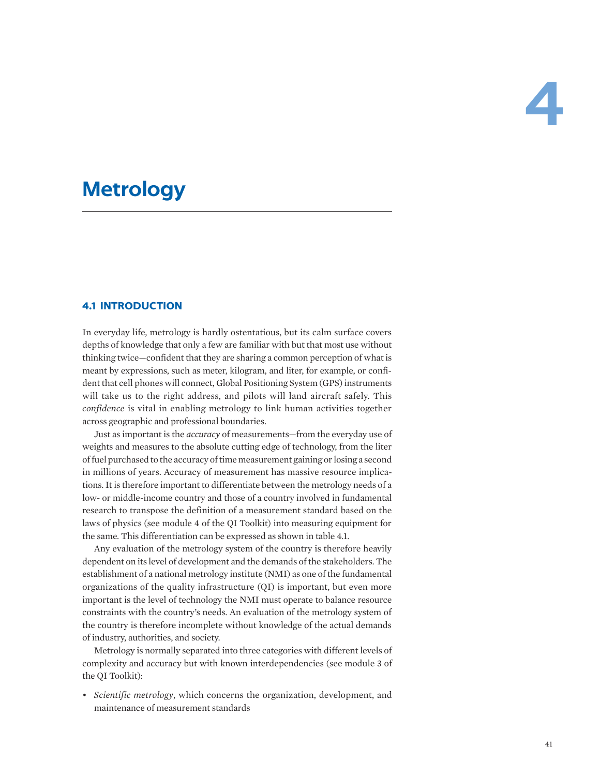# **Metrology**

# **4.1 INTRODUCTION**

In everyday life, metrology is hardly ostentatious, but its calm surface covers depths of knowledge that only a few are familiar with but that most use without thinking twice—confident that they are sharing a common perception of what is meant by expressions, such as meter, kilogram, and liter, for example, or confident that cell phones will connect, Global Positioning System (GPS) instruments will take us to the right address, and pilots will land aircraft safely. This *confidence* is vital in enabling metrology to link human activities together across geographic and professional boundaries.

Just as important is the *accuracy* of measurements—from the everyday use of weights and measures to the absolute cutting edge of technology, from the liter of fuel purchased to the accuracy of time measurement gaining or losing a second in millions of years. Accuracy of measurement has massive resource implications. It is therefore important to differentiate between the metrology needs of a low- or middle-income country and those of a country involved in fundamental research to transpose the definition of a measurement standard based on the laws of physics (see module 4 of the QI Toolkit) into measuring equipment for the same. This differentiation can be expressed as shown in table 4.1.

Any evaluation of the metrology system of the country is therefore heavily dependent on its level of development and the demands of the stakeholders. The establishment of a national metrology institute (NMI) as one of the fundamental organizations of the quality infrastructure (QI) is important, but even more important is the level of technology the NMI must operate to balance resource constraints with the country's needs. An evaluation of the metrology system of the country is therefore incomplete without knowledge of the actual demands of industry, authorities, and society.

Metrology is normally separated into three categories with different levels of complexity and accuracy but with known interdependencies (see module 3 of the QI Toolkit):

• *Scientific metrology*, which concerns the organization, development, and maintenance of measurement standards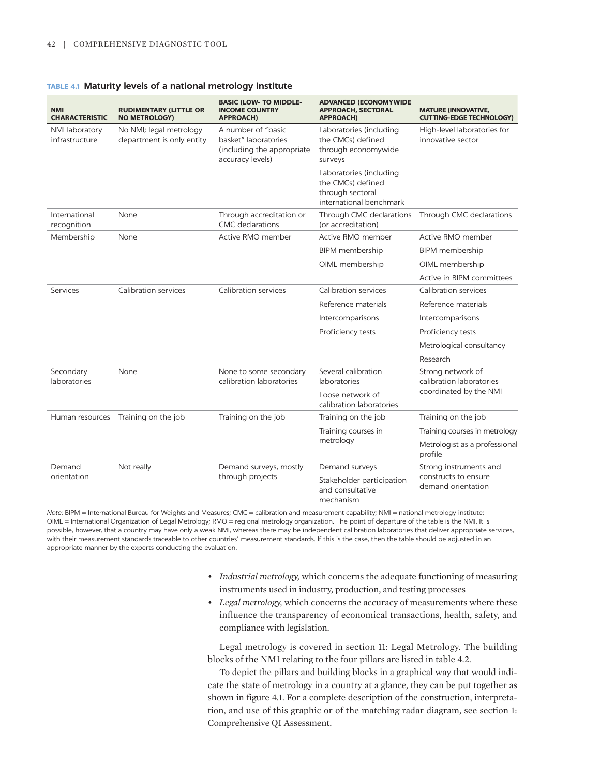| <b>TABLE 4.1 Maturity levels of a national metrology institute</b> |  |  |  |  |  |
|--------------------------------------------------------------------|--|--|--|--|--|
|--------------------------------------------------------------------|--|--|--|--|--|

| <b>NMI</b><br><b>CHARACTERISTIC</b> | <b>RUDIMENTARY (LITTLE OR</b><br><b>NO METROLOGY)</b> | <b>BASIC (LOW- TO MIDDLE-</b><br><b>INCOME COUNTRY</b><br><b>APPROACH)</b>                   | <b>ADVANCED (ECONOMYWIDE</b><br><b>APPROACH, SECTORAL</b><br><b>APPROACH)</b>               | <b>MATURE (INNOVATIVE,</b><br><b>CUTTING-EDGE TECHNOLOGY)</b> |
|-------------------------------------|-------------------------------------------------------|----------------------------------------------------------------------------------------------|---------------------------------------------------------------------------------------------|---------------------------------------------------------------|
| NMI laboratory<br>infrastructure    | No NMI; legal metrology<br>department is only entity  | A number of "basic<br>basket" laboratories<br>(including the appropriate<br>accuracy levels) | Laboratories (including<br>the CMCs) defined<br>through economywide<br>surveys              | High-level laboratories for<br>innovative sector              |
|                                     |                                                       |                                                                                              | Laboratories (including<br>the CMCs) defined<br>through sectoral<br>international benchmark |                                                               |
| International<br>recognition        | None                                                  | Through accreditation or<br>CMC declarations                                                 | Through CMC declarations<br>(or accreditation)                                              | Through CMC declarations                                      |
| Membership                          | None                                                  | Active RMO member                                                                            | Active RMO member                                                                           | Active RMO member                                             |
|                                     |                                                       |                                                                                              | <b>BIPM</b> membership                                                                      | BIPM membership                                               |
|                                     |                                                       |                                                                                              | OIML membership                                                                             | OIML membership                                               |
|                                     |                                                       |                                                                                              |                                                                                             | Active in BIPM committees                                     |
| Services                            | Calibration services                                  | <b>Calibration services</b>                                                                  | Calibration services                                                                        | <b>Calibration services</b>                                   |
|                                     |                                                       |                                                                                              | Reference materials                                                                         | Reference materials                                           |
|                                     |                                                       |                                                                                              | Intercomparisons                                                                            | Intercomparisons                                              |
|                                     |                                                       |                                                                                              | Proficiency tests                                                                           | Proficiency tests                                             |
|                                     |                                                       |                                                                                              |                                                                                             | Metrological consultancy                                      |
|                                     |                                                       |                                                                                              |                                                                                             | Research                                                      |
| Secondary<br><b>laboratories</b>    | None                                                  | None to some secondary<br>calibration laboratories                                           | Several calibration<br><b>laboratories</b>                                                  | Strong network of<br>calibration laboratories                 |
|                                     |                                                       |                                                                                              | Loose network of<br>calibration laboratories                                                | coordinated by the NMI                                        |
| Human resources                     | Training on the job                                   | Training on the job                                                                          | Training on the job                                                                         | Training on the job                                           |
|                                     |                                                       |                                                                                              | Training courses in                                                                         | Training courses in metrology                                 |
|                                     |                                                       |                                                                                              | metrology                                                                                   | Metrologist as a professional<br>profile                      |
| Demand                              | Not really                                            | Demand surveys, mostly<br>through projects                                                   | Demand surveys                                                                              | Strong instruments and                                        |
| orientation                         |                                                       |                                                                                              | Stakeholder participation<br>and consultative<br>mechanism                                  | constructs to ensure<br>demand orientation                    |

*Note:* BIPM = International Bureau for Weights and Measures; CMC = calibration and measurement capability; NMI = national metrology institute; OIML = International Organization of Legal Metrology; RMO = regional metrology organization. The point of departure of the table is the NMI. It is possible, however, that a country may have only a weak NMI, whereas there may be independent calibration laboratories that deliver appropriate services, with their measurement standards traceable to other countries' measurement standards. If this is the case, then the table should be adjusted in an appropriate manner by the experts conducting the evaluation.

- *Industrial metrology,* which concerns the adequate functioning of measuring instruments used in industry, production, and testing processes
- *Legal metrology,* which concerns the accuracy of measurements where these influence the transparency of economical transactions, health, safety, and compliance with legislation.

Legal metrology is covered in section 11: Legal Metrology. The building blocks of the NMI relating to the four pillars are listed in table 4.2.

To depict the pillars and building blocks in a graphical way that would indicate the state of metrology in a country at a glance, they can be put together as shown in figure 4.1. For a complete description of the construction, interpretation, and use of this graphic or of the matching radar diagram, see section 1: Comprehensive QI Assessment.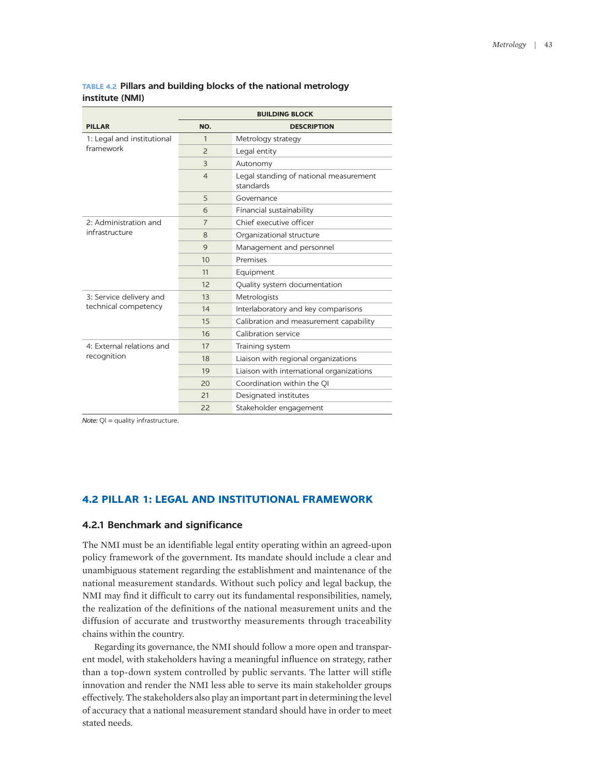|                            |                          | <b>BUILDING BLOCK</b>                               |
|----------------------------|--------------------------|-----------------------------------------------------|
| <b>PILLAR</b>              | NO.                      | <b>DESCRIPTION</b>                                  |
| 1: Legal and institutional | 1                        | Metrology strategy                                  |
| framework                  | $\overline{\phantom{0}}$ | Legal entity                                        |
|                            | 3                        | Autonomy                                            |
|                            | $\overline{4}$           | Legal standing of national measurement<br>standards |
|                            | 5                        | Governance                                          |
|                            | 6                        | Financial sustainability                            |
| 2: Administration and      | 7                        | Chief executive officer                             |
| infrastructure             | 8                        | Organizational structure                            |
|                            | 9                        | Management and personnel                            |
|                            | 10                       | Premises                                            |
|                            | 11                       | Equipment                                           |
|                            | 12                       | Quality system documentation                        |
| 3: Service delivery and    | 13                       | Metrologists                                        |
| technical competency       | 14                       | Interlaboratory and key comparisons                 |
|                            | 15                       | Calibration and measurement capability              |
|                            | 16                       | Calibration service                                 |
| 4: External relations and  | 17                       | Training system                                     |
| recognition                | 18                       | Liaison with regional organizations                 |
|                            | 19                       | Liaison with international organizations            |
|                            | 20                       | Coordination within the QI                          |
|                            | 21                       | Designated institutes                               |
|                            | 22                       | Stakeholder engagement                              |

# **TABLE 4.2 Pillars and building blocks of the national metrology institute (NMI)**

*Note:* QI = quality infrastructure.

# **4.2 PILLAR 1: LEGAL AND INSTITUTIONAL FRAMEWORK**

### **4.2.1 Benchmark and significance**

The NMI must be an identifiable legal entity operating within an agreed-upon policy framework of the government. Its mandate should include a clear and unambiguous statement regarding the establishment and maintenance of the national measurement standards. Without such policy and legal backup, the NMI may find it difficult to carry out its fundamental responsibilities, namely, the realization of the definitions of the national measurement units and the diffusion of accurate and trustworthy measurements through traceability chains within the country.

Regarding its governance, the NMI should follow a more open and transparent model, with stakeholders having a meaningful influence on strategy, rather than a top-down system controlled by public servants. The latter will stifle innovation and render the NMI less able to serve its main stakeholder groups effectively. The stakeholders also play an important part in determining the level of accuracy that a national measurement standard should have in order to meet stated needs.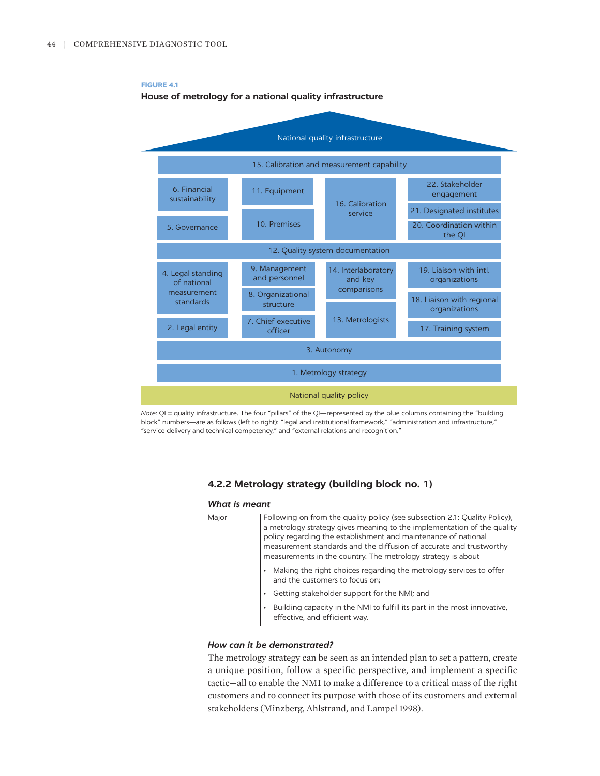**FIGURE 4.1**



*Note:* QI = quality infrastructure. The four "pillars" of the QI—represented by the blue columns containing the "building block" numbers—are as follows (left to right): "legal and institutional framework," "administration and infrastructure," "service delivery and technical competency," and "external relations and recognition."

# **4.2.2 Metrology strategy (building block no. 1)**

#### *What is meant*

Major | Following on from the quality policy (see subsection 2.1: Quality Policy), a metrology strategy gives meaning to the implementation of the quality policy regarding the establishment and maintenance of national measurement standards and the diffusion of accurate and trustworthy measurements in the country. The metrology strategy is about

- Making the right choices regarding the metrology services to offer and the customers to focus on;
- Getting stakeholder support for the NMI; and
- Building capacity in the NMI to fulfill its part in the most innovative, effective, and efficient way.

### *How can it be demonstrated?*

The metrology strategy can be seen as an intended plan to set a pattern, create a unique position, follow a specific perspective, and implement a specific tactic—all to enable the NMI to make a difference to a critical mass of the right customers and to connect its purpose with those of its customers and external stakeholders (Minzberg, Ahlstrand, and Lampel 1998).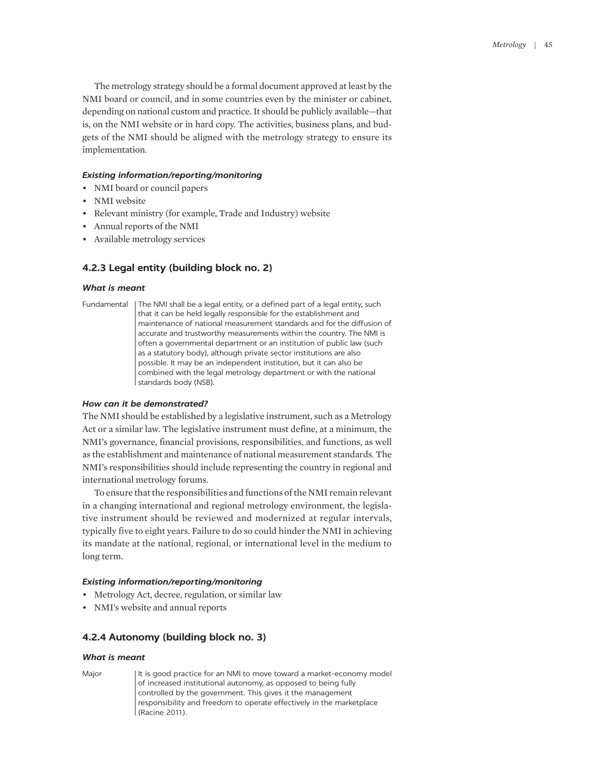The metrology strategy should be a formal document approved at least by the NMI board or council, and in some countries even by the minister or cabinet, depending on national custom and practice. It should be publicly available—that is, on the NMI website or in hard copy. The activities, business plans, and budgets of the NMI should be aligned with the metrology strategy to ensure its implementation.

### *Existing information/reporting/monitoring*

- NMI board or council papers
- NMI website
- Relevant ministry (for example, Trade and Industry) website
- Annual reports of the NMI
- Available metrology services

# **4.2.3 Legal entity (building block no. 2)**

### *What is meant*

Fundamental The NMI shall be a legal entity, or a defined part of a legal entity, such that it can be held legally responsible for the establishment and maintenance of national measurement standards and for the diffusion of accurate and trustworthy measurements within the country. The NMI is often a governmental department or an institution of public law (such as a statutory body), although private sector institutions are also possible. It may be an independent institution, but it can also be combined with the legal metrology department or with the national standards body (NSB).

# *How can it be demonstrated?*

The NMI should be established by a legislative instrument, such as a Metrology Act or a similar law. The legislative instrument must define, at a minimum, the NMI's governance, financial provisions, responsibilities, and functions, as well as the establishment and maintenance of national measurement standards. The NMI's responsibilities should include representing the country in regional and international metrology forums.

To ensure that the responsibilities and functions of the NMI remain relevant in a changing international and regional metrology environment, the legislative instrument should be reviewed and modernized at regular intervals, typically five to eight years. Failure to do so could hinder the NMI in achieving its mandate at the national, regional, or international level in the medium to long term.

# *Existing information/reporting/monitoring*

- Metrology Act, decree, regulation, or similar law
- NMI's website and annual reports

# **4.2.4 Autonomy (building block no. 3)**

### *What is meant*

Major | It is good practice for an NMI to move toward a market-economy model of increased institutional autonomy, as opposed to being fully controlled by the government. This gives it the management responsibility and freedom to operate effectively in the marketplace (Racine 2011).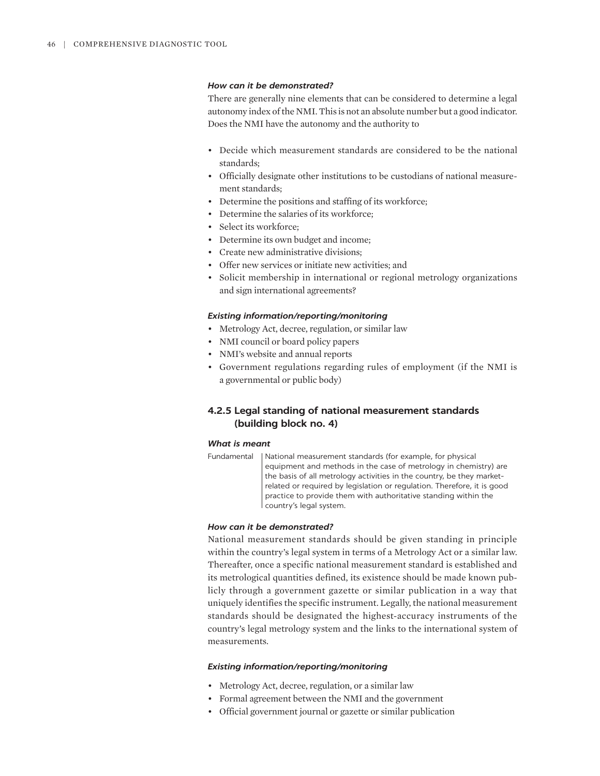### *How can it be demonstrated?*

There are generally nine elements that can be considered to determine a legal autonomy index of the NMI. This is not an absolute number but a good indicator. Does the NMI have the autonomy and the authority to

- Decide which measurement standards are considered to be the national standards;
- Officially designate other institutions to be custodians of national measurement standards;
- Determine the positions and staffing of its workforce;
- Determine the salaries of its workforce;
- Select its workforce;
- Determine its own budget and income;
- Create new administrative divisions;
- Offer new services or initiate new activities; and
- Solicit membership in international or regional metrology organizations and sign international agreements?

#### *Existing information/reporting/monitoring*

- Metrology Act, decree, regulation, or similar law
- NMI council or board policy papers
- NMI's website and annual reports
- Government regulations regarding rules of employment (if the NMI is a governmental or public body)

# **4.2.5 Legal standing of national measurement standards (building block no. 4)**

### *What is meant*

```
Fundamental | National measurement standards (for example, for physical
   equipment and methods in the case of metrology in chemistry) are 
   the basis of all metrology activities in the country, be they market-
   related or required by legislation or regulation. Therefore, it is good 
   practice to provide them with authoritative standing within the 
   country's legal system.
```
### *How can it be demonstrated?*

National measurement standards should be given standing in principle within the country's legal system in terms of a Metrology Act or a similar law. Thereafter, once a specific national measurement standard is established and its metrological quantities defined, its existence should be made known publicly through a government gazette or similar publication in a way that uniquely identifies the specific instrument. Legally, the national measurement standards should be designated the highest-accuracy instruments of the country's legal metrology system and the links to the international system of measurements.

- Metrology Act, decree, regulation, or a similar law
- Formal agreement between the NMI and the government
- Official government journal or gazette or similar publication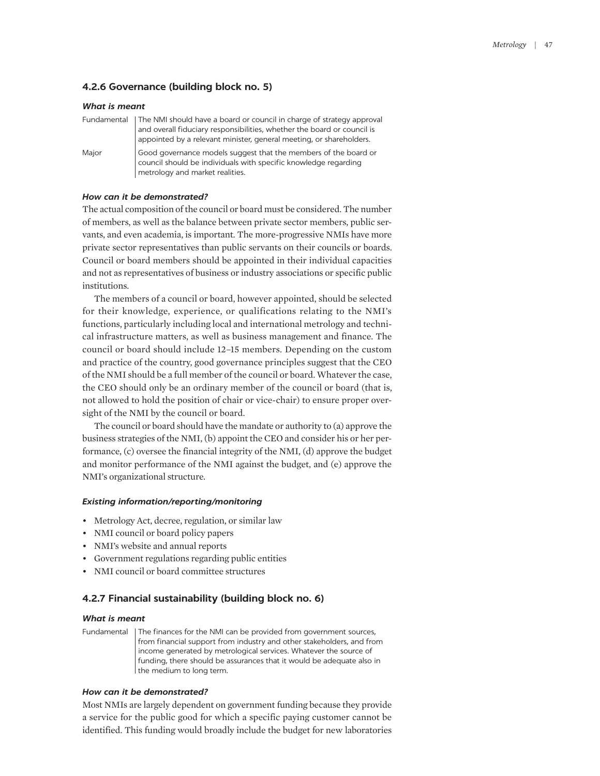# **4.2.6 Governance (building block no. 5)**

| <b>What is meant</b> |                                                                                                                                                                                                                                       |  |
|----------------------|---------------------------------------------------------------------------------------------------------------------------------------------------------------------------------------------------------------------------------------|--|
|                      | Fundamental   The NMI should have a board or council in charge of strategy approval<br>and overall fiduciary responsibilities, whether the board or council is<br>appointed by a relevant minister, general meeting, or shareholders. |  |
| Major                | Good governance models suggest that the members of the board or<br>council should be individuals with specific knowledge regarding<br>metrology and market realities.                                                                 |  |

### *How can it be demonstrated?*

The actual composition of the council or board must be considered. The number of members, as well as the balance between private sector members, public servants, and even academia, is important. The more-progressive NMIs have more private sector representatives than public servants on their councils or boards. Council or board members should be appointed in their individual capacities and not as representatives of business or industry associations or specific public institutions.

The members of a council or board, however appointed, should be selected for their knowledge, experience, or qualifications relating to the NMI's functions, particularly including local and international metrology and technical infrastructure matters, as well as business management and finance. The council or board should include 12–15 members. Depending on the custom and practice of the country, good governance principles suggest that the CEO of the NMI should be a full member of the council or board. Whatever the case, the CEO should only be an ordinary member of the council or board (that is, not allowed to hold the position of chair or vice-chair) to ensure proper oversight of the NMI by the council or board.

The council or board should have the mandate or authority to (a) approve the business strategies of the NMI, (b) appoint the CEO and consider his or her performance, (c) oversee the financial integrity of the NMI, (d) approve the budget and monitor performance of the NMI against the budget, and (e) approve the NMI's organizational structure.

### *Existing information/reporting/monitoring*

- Metrology Act, decree, regulation, or similar law
- NMI council or board policy papers
- NMI's website and annual reports
- Government regulations regarding public entities
- NMI council or board committee structures

# **4.2.7 Financial sustainability (building block no. 6)**

### *What is meant*

Fundamental The finances for the NMI can be provided from government sources, from financial support from industry and other stakeholders, and from income generated by metrological services. Whatever the source of funding, there should be assurances that it would be adequate also in I the medium to long term.

## *How can it be demonstrated?*

Most NMIs are largely dependent on government funding because they provide a service for the public good for which a specific paying customer cannot be identified. This funding would broadly include the budget for new laboratories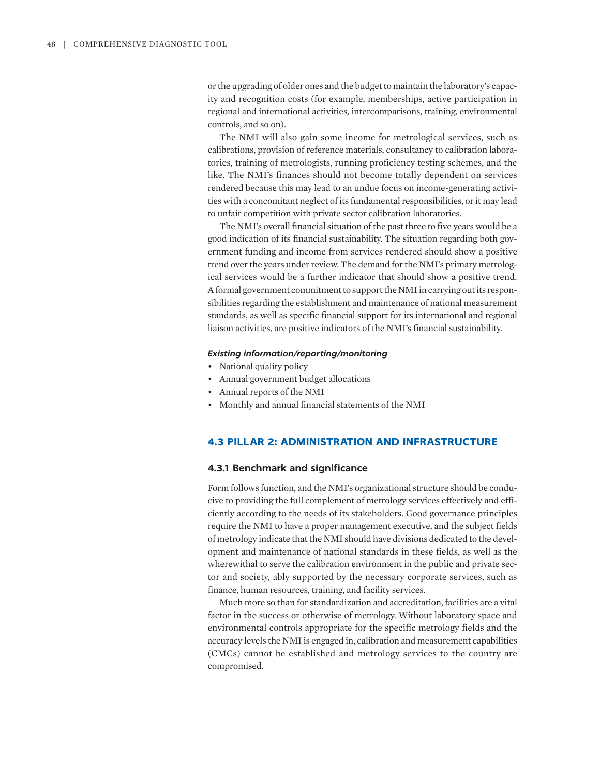or the upgrading of older ones and the budget to maintain the laboratory's capacity and recognition costs (for example, memberships, active participation in regional and international activities, intercomparisons, training, environmental controls, and so on).

The NMI will also gain some income for metrological services, such as calibrations, provision of reference materials, consultancy to calibration laboratories, training of metrologists, running proficiency testing schemes, and the like. The NMI's finances should not become totally dependent on services rendered because this may lead to an undue focus on income-generating activities with a concomitant neglect of its fundamental responsibilities, or it may lead to unfair competition with private sector calibration laboratories.

The NMI's overall financial situation of the past three to five years would be a good indication of its financial sustainability. The situation regarding both government funding and income from services rendered should show a positive trend over the years under review. The demand for the NMI's primary metrological services would be a further indicator that should show a positive trend. A formal government commitment to support the NMI in carrying out its responsibilities regarding the establishment and maintenance of national measurement standards, as well as specific financial support for its international and regional liaison activities, are positive indicators of the NMI's financial sustainability.

### *Existing information/reporting/monitoring*

- National quality policy
- Annual government budget allocations
- Annual reports of the NMI
- Monthly and annual financial statements of the NMI

# **4.3 PILLAR 2: ADMINISTRATION AND INFRASTRUCTURE**

# **4.3.1 Benchmark and significance**

Form follows function, and the NMI's organizational structure should be conducive to providing the full complement of metrology services effectively and efficiently according to the needs of its stakeholders. Good governance principles require the NMI to have a proper management executive, and the subject fields of metrology indicate that the NMI should have divisions dedicated to the development and maintenance of national standards in these fields, as well as the wherewithal to serve the calibration environment in the public and private sector and society, ably supported by the necessary corporate services, such as finance, human resources, training, and facility services.

Much more so than for standardization and accreditation, facilities are a vital factor in the success or otherwise of metrology. Without laboratory space and environmental controls appropriate for the specific metrology fields and the accuracy levels the NMI is engaged in, calibration and measurement capabilities (CMCs) cannot be established and metrology services to the country are compromised.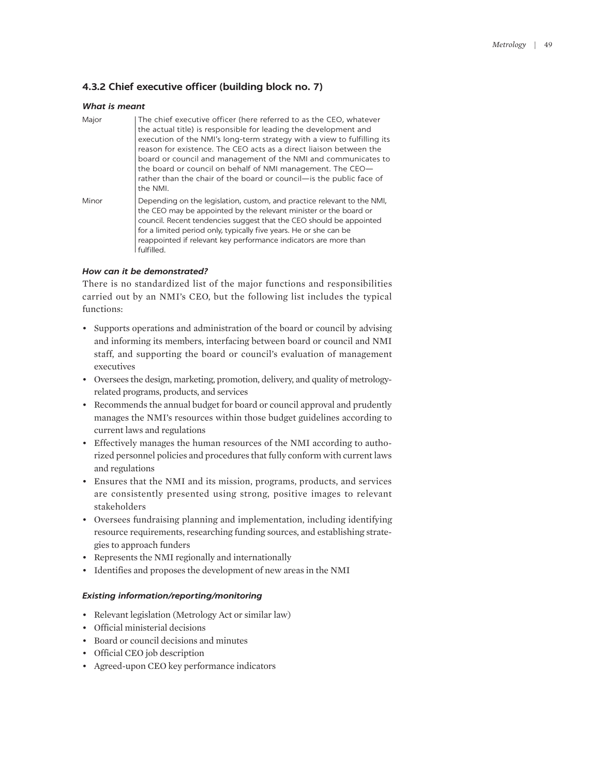# **4.3.2 Chief executive officer (building block no. 7)**

### *What is meant*

| Major | The chief executive officer (here referred to as the CEO, whatever<br>the actual title) is responsible for leading the development and<br>execution of the NMI's long-term strategy with a view to fulfilling its<br>reason for existence. The CEO acts as a direct liaison between the<br>board or council and management of the NMI and communicates to<br>the board or council on behalf of NMI management. The CEO-<br>rather than the chair of the board or council- is the public face of<br>the NMI. |
|-------|-------------------------------------------------------------------------------------------------------------------------------------------------------------------------------------------------------------------------------------------------------------------------------------------------------------------------------------------------------------------------------------------------------------------------------------------------------------------------------------------------------------|
| Minor | Depending on the legislation, custom, and practice relevant to the NMI,<br>the CEO may be appointed by the relevant minister or the board or<br>council. Recent tendencies suggest that the CEO should be appointed<br>for a limited period only, typically five years. He or she can be<br>reappointed if relevant key performance indicators are more than<br>fulfilled.                                                                                                                                  |

# *How can it be demonstrated?*

There is no standardized list of the major functions and responsibilities carried out by an NMI's CEO, but the following list includes the typical functions:

- Supports operations and administration of the board or council by advising and informing its members, interfacing between board or council and NMI staff, and supporting the board or council's evaluation of management executives
- Oversees the design, marketing, promotion, delivery, and quality of metrologyrelated programs, products, and services
- Recommends the annual budget for board or council approval and prudently manages the NMI's resources within those budget guidelines according to current laws and regulations
- Effectively manages the human resources of the NMI according to authorized personnel policies and procedures that fully conform with current laws and regulations
- Ensures that the NMI and its mission, programs, products, and services are consistently presented using strong, positive images to relevant stakeholders
- Oversees fundraising planning and implementation, including identifying resource requirements, researching funding sources, and establishing strategies to approach funders
- Represents the NMI regionally and internationally
- Identifies and proposes the development of new areas in the NMI

- Relevant legislation (Metrology Act or similar law)
- Official ministerial decisions
- Board or council decisions and minutes
- Official CEO job description
- Agreed-upon CEO key performance indicators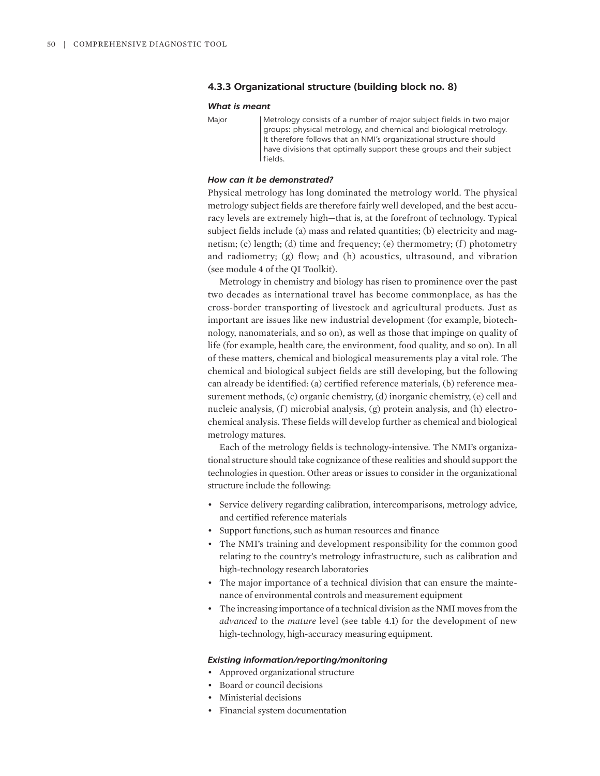# **4.3.3 Organizational structure (building block no. 8)**

### *What is meant*

Major Metrology consists of a number of major subject fields in two major groups: physical metrology, and chemical and biological metrology. It therefore follows that an NMI's organizational structure should have divisions that optimally support these groups and their subject fields.

### *How can it be demonstrated?*

Physical metrology has long dominated the metrology world. The physical metrology subject fields are therefore fairly well developed, and the best accuracy levels are extremely high—that is, at the forefront of technology. Typical subject fields include (a) mass and related quantities; (b) electricity and magnetism; (c) length; (d) time and frequency; (e) thermometry; (f ) photometry and radiometry; (g) flow; and (h) acoustics, ultrasound, and vibration (see module 4 of the QI Toolkit).

Metrology in chemistry and biology has risen to prominence over the past two decades as international travel has become commonplace, as has the cross-border transporting of livestock and agricultural products. Just as important are issues like new industrial development (for example, biotechnology, nanomaterials, and so on), as well as those that impinge on quality of life (for example, health care, the environment, food quality, and so on). In all of these matters, chemical and biological measurements play a vital role. The chemical and biological subject fields are still developing, but the following can already be identified: (a) certified reference materials, (b) reference measurement methods, (c) organic chemistry, (d) inorganic chemistry, (e) cell and nucleic analysis, (f) microbial analysis, (g) protein analysis, and (h) electrochemical analysis. These fields will develop further as chemical and biological metrology matures.

Each of the metrology fields is technology-intensive. The NMI's organizational structure should take cognizance of these realities and should support the technologies in question. Other areas or issues to consider in the organizational structure include the following:

- Service delivery regarding calibration, intercomparisons, metrology advice, and certified reference materials
- Support functions, such as human resources and finance
- The NMI's training and development responsibility for the common good relating to the country's metrology infrastructure, such as calibration and high-technology research laboratories
- The major importance of a technical division that can ensure the maintenance of environmental controls and measurement equipment
- The increasing importance of a technical division as the NMI moves from the *advanced* to the *mature* level (see table 4.1) for the development of new high-technology, high-accuracy measuring equipment.

- Approved organizational structure
- Board or council decisions
- Ministerial decisions
- Financial system documentation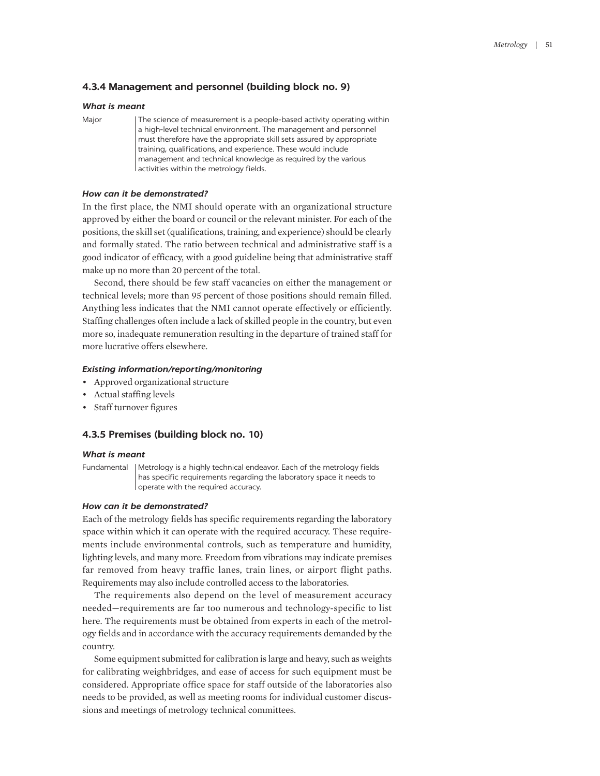# **4.3.4 Management and personnel (building block no. 9)**

### *What is meant*

Major The science of measurement is a people-based activity operating within a high-level technical environment. The management and personnel must therefore have the appropriate skill sets assured by appropriate training, qualifications, and experience. These would include management and technical knowledge as required by the various activities within the metrology fields.

## *How can it be demonstrated?*

In the first place, the NMI should operate with an organizational structure approved by either the board or council or the relevant minister. For each of the positions, the skill set (qualifications, training, and experience) should be clearly and formally stated. The ratio between technical and administrative staff is a good indicator of efficacy, with a good guideline being that administrative staff make up no more than 20 percent of the total.

Second, there should be few staff vacancies on either the management or technical levels; more than 95 percent of those positions should remain filled. Anything less indicates that the NMI cannot operate effectively or efficiently. Staffing challenges often include a lack of skilled people in the country, but even more so, inadequate remuneration resulting in the departure of trained staff for more lucrative offers elsewhere.

### *Existing information/reporting/monitoring*

- Approved organizational structure
- Actual staffing levels
- Staff turnover figures

### **4.3.5 Premises (building block no. 10)**

#### *What is meant*

Fundamental | Metrology is a highly technical endeavor. Each of the metrology fields has specific requirements regarding the laboratory space it needs to operate with the required accuracy.

### *How can it be demonstrated?*

Each of the metrology fields has specific requirements regarding the laboratory space within which it can operate with the required accuracy. These requirements include environmental controls, such as temperature and humidity, lighting levels, and many more. Freedom from vibrations may indicate premises far removed from heavy traffic lanes, train lines, or airport flight paths. Requirements may also include controlled access to the laboratories.

The requirements also depend on the level of measurement accuracy needed—requirements are far too numerous and technology-specific to list here. The requirements must be obtained from experts in each of the metrology fields and in accordance with the accuracy requirements demanded by the country.

Some equipment submitted for calibration is large and heavy, such as weights for calibrating weighbridges, and ease of access for such equipment must be considered. Appropriate office space for staff outside of the laboratories also needs to be provided, as well as meeting rooms for individual customer discussions and meetings of metrology technical committees.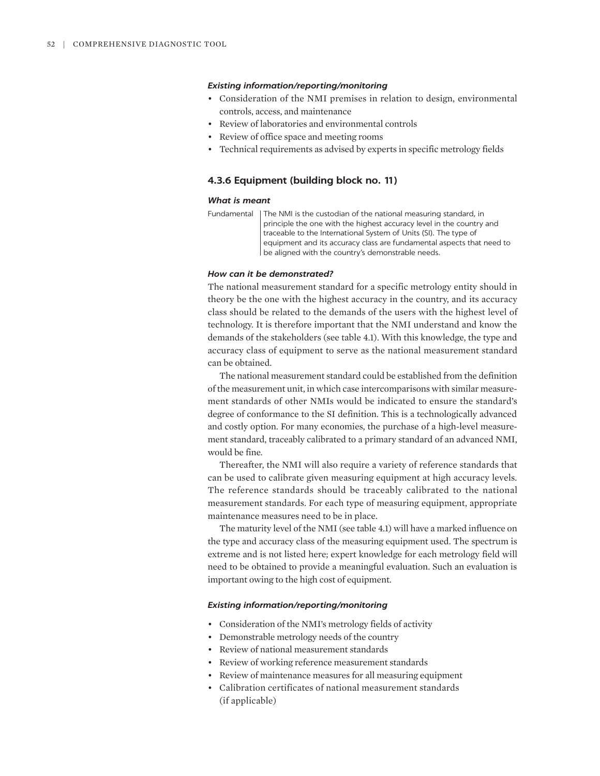### *Existing information/reporting/monitoring*

- Consideration of the NMI premises in relation to design, environmental controls, access, and maintenance
- Review of laboratories and environmental controls
- Review of office space and meeting rooms
- Technical requirements as advised by experts in specific metrology fields

### **4.3.6 Equipment (building block no. 11)**

#### *What is meant*

| Fundamental   The NMI is the custodian of the national measuring standard, in |
|-------------------------------------------------------------------------------|
| principle the one with the highest accuracy level in the country and          |
| traceable to the International System of Units (SI). The type of              |
| equipment and its accuracy class are fundamental aspects that need to         |
| be aligned with the country's demonstrable needs.                             |

#### *How can it be demonstrated?*

The national measurement standard for a specific metrology entity should in theory be the one with the highest accuracy in the country, and its accuracy class should be related to the demands of the users with the highest level of technology. It is therefore important that the NMI understand and know the demands of the stakeholders (see table 4.1). With this knowledge, the type and accuracy class of equipment to serve as the national measurement standard can be obtained.

The national measurement standard could be established from the definition of the measurement unit, in which case intercomparisons with similar measurement standards of other NMIs would be indicated to ensure the standard's degree of conformance to the SI definition. This is a technologically advanced and costly option. For many economies, the purchase of a high-level measurement standard, traceably calibrated to a primary standard of an advanced NMI, would be fine.

Thereafter, the NMI will also require a variety of reference standards that can be used to calibrate given measuring equipment at high accuracy levels. The reference standards should be traceably calibrated to the national measurement standards. For each type of measuring equipment, appropriate maintenance measures need to be in place.

The maturity level of the NMI (see table 4.1) will have a marked influence on the type and accuracy class of the measuring equipment used. The spectrum is extreme and is not listed here; expert knowledge for each metrology field will need to be obtained to provide a meaningful evaluation. Such an evaluation is important owing to the high cost of equipment.

- Consideration of the NMI's metrology fields of activity
- Demonstrable metrology needs of the country
- Review of national measurement standards
- Review of working reference measurement standards
- Review of maintenance measures for all measuring equipment
- Calibration certificates of national measurement standards (if applicable)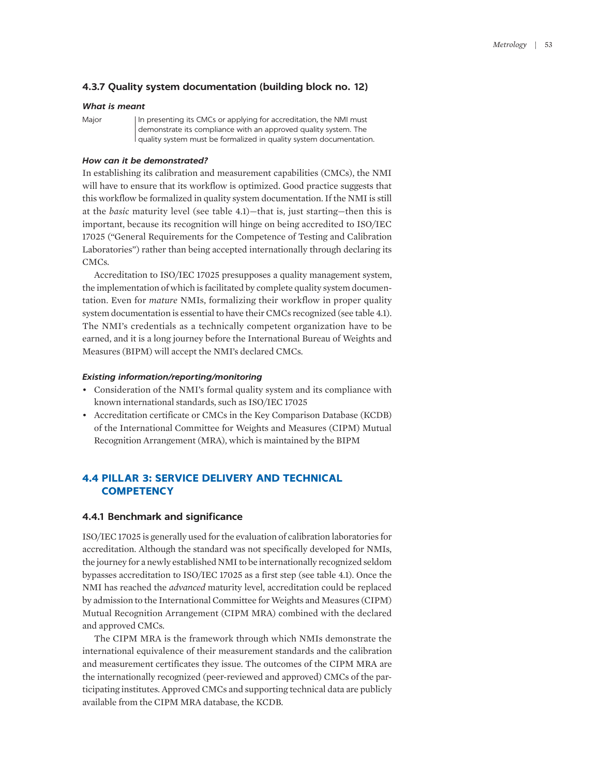# **4.3.7 Quality system documentation (building block no. 12)**

### *What is meant*

Major | In presenting its CMCs or applying for accreditation, the NMI must demonstrate its compliance with an approved quality system. The quality system must be formalized in quality system documentation.

### *How can it be demonstrated?*

In establishing its calibration and measurement capabilities (CMCs), the NMI will have to ensure that its workflow is optimized. Good practice suggests that this workflow be formalized in quality system documentation. If the NMI is still at the *basic* maturity level (see table 4.1)—that is, just starting—then this is important, because its recognition will hinge on being accredited to ISO/IEC 17025 ("General Requirements for the Competence of Testing and Calibration Laboratories") rather than being accepted internationally through declaring its CMCs.

Accreditation to ISO/IEC 17025 presupposes a quality management system, the implementation of which is facilitated by complete quality system documentation. Even for *mature* NMIs, formalizing their workflow in proper quality system documentation is essential to have their CMCs recognized (see table 4.1). The NMI's credentials as a technically competent organization have to be earned, and it is a long journey before the International Bureau of Weights and Measures (BIPM) will accept the NMI's declared CMCs.

#### *Existing information/reporting/monitoring*

- Consideration of the NMI's formal quality system and its compliance with known international standards, such as ISO/IEC 17025
- Accreditation certificate or CMCs in the Key Comparison Database (KCDB) of the International Committee for Weights and Measures (CIPM) Mutual Recognition Arrangement (MRA), which is maintained by the BIPM

# **4.4 PILLAR 3: SERVICE DELIVERY AND TECHNICAL COMPETENCY**

### **4.4.1 Benchmark and significance**

ISO/IEC 17025 is generally used for the evaluation of calibration laboratories for accreditation. Although the standard was not specifically developed for NMIs, the journey for a newly established NMI to be internationally recognized seldom bypasses accreditation to ISO/IEC 17025 as a first step (see table 4.1). Once the NMI has reached the *advanced* maturity level, accreditation could be replaced by admission to the International Committee for Weights and Measures (CIPM) Mutual Recognition Arrangement (CIPM MRA) combined with the declared and approved CMCs.

The CIPM MRA is the framework through which NMIs demonstrate the international equivalence of their measurement standards and the calibration and measurement certificates they issue. The outcomes of the CIPM MRA are the internationally recognized (peer-reviewed and approved) CMCs of the participating institutes. Approved CMCs and supporting technical data are publicly available from the CIPM MRA database, the KCDB.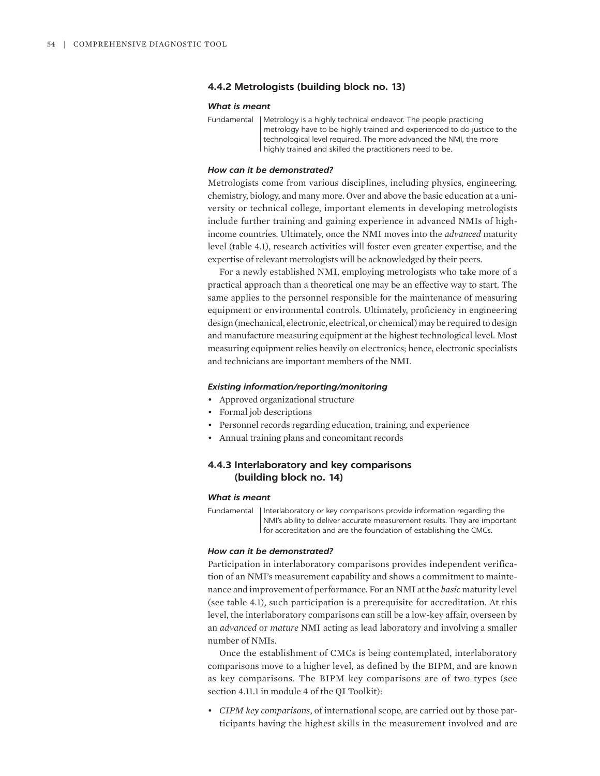### **4.4.2 Metrologists (building block no. 13)**

### *What is meant*

Fundamental | Metrology is a highly technical endeavor. The people practicing metrology have to be highly trained and experienced to do justice to the technological level required. The more advanced the NMI, the more highly trained and skilled the practitioners need to be.

#### *How can it be demonstrated?*

Metrologists come from various disciplines, including physics, engineering, chemistry, biology, and many more. Over and above the basic education at a university or technical college, important elements in developing metrologists include further training and gaining experience in advanced NMIs of highincome countries. Ultimately, once the NMI moves into the *advanced* maturity level (table 4.1), research activities will foster even greater expertise, and the expertise of relevant metrologists will be acknowledged by their peers.

For a newly established NMI, employing metrologists who take more of a practical approach than a theoretical one may be an effective way to start. The same applies to the personnel responsible for the maintenance of measuring equipment or environmental controls. Ultimately, proficiency in engineering design (mechanical, electronic, electrical, or chemical) may be required to design and manufacture measuring equipment at the highest technological level. Most measuring equipment relies heavily on electronics; hence, electronic specialists and technicians are important members of the NMI.

### *Existing information/reporting/monitoring*

- Approved organizational structure
- Formal job descriptions
- Personnel records regarding education, training, and experience
- Annual training plans and concomitant records

# **4.4.3 Interlaboratory and key comparisons (building block no. 14)**

### *What is meant*

Fundamental | Interlaboratory or key comparisons provide information regarding the NMI's ability to deliver accurate measurement results. They are important for accreditation and are the foundation of establishing the CMCs.

#### *How can it be demonstrated?*

Participation in interlaboratory comparisons provides independent verification of an NMI's measurement capability and shows a commitment to maintenance and improvement of performance. For an NMI at the *basic* maturity level (see table 4.1), such participation is a prerequisite for accreditation. At this level, the interlaboratory comparisons can still be a low-key affair, overseen by an *advanced* or *mature* NMI acting as lead laboratory and involving a smaller number of NMIs.

Once the establishment of CMCs is being contemplated, interlaboratory comparisons move to a higher level, as defined by the BIPM, and are known as key comparisons. The BIPM key comparisons are of two types (see section 4.11.1 in module 4 of the QI Toolkit):

• *CIPM key comparisons*, of international scope, are carried out by those participants having the highest skills in the measurement involved and are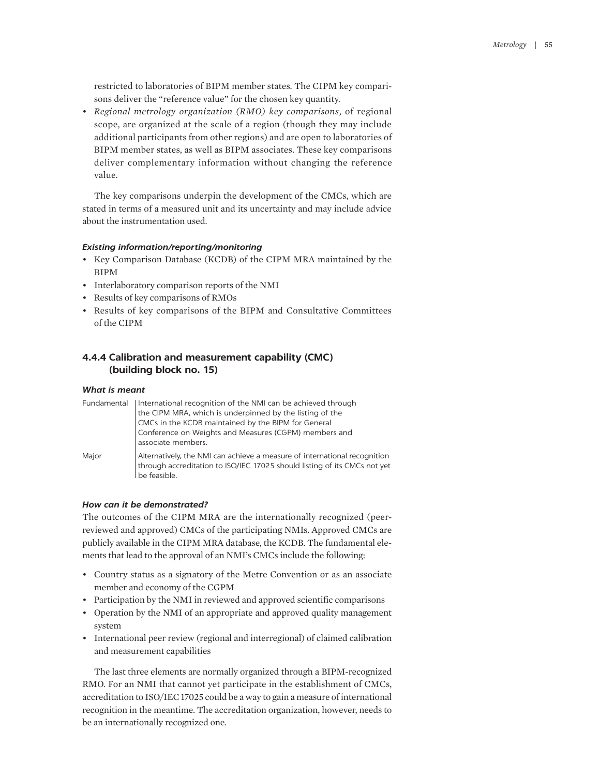restricted to laboratories of BIPM member states. The CIPM key comparisons deliver the "reference value" for the chosen key quantity.

• *Regional metrology organization (RMO) key comparisons*, of regional scope, are organized at the scale of a region (though they may include additional participants from other regions) and are open to laboratories of BIPM member states, as well as BIPM associates. These key comparisons deliver complementary information without changing the reference value.

The key comparisons underpin the development of the CMCs, which are stated in terms of a measured unit and its uncertainty and may include advice about the instrumentation used.

### *Existing information/reporting/monitoring*

- Key Comparison Database (KCDB) of the CIPM MRA maintained by the BIPM
- Interlaboratory comparison reports of the NMI
- Results of key comparisons of RMOs
- Results of key comparisons of the BIPM and Consultative Committees of the CIPM

# **4.4.4 Calibration and measurement capability (CMC) (building block no. 15)**

### *What is meant*

| Fundamental | International recognition of the NMI can be achieved through<br>the CIPM MRA, which is underpinned by the listing of the<br>CMCs in the KCDB maintained by the BIPM for General<br>Conference on Weights and Measures (CGPM) members and<br>associate members. |
|-------------|----------------------------------------------------------------------------------------------------------------------------------------------------------------------------------------------------------------------------------------------------------------|
| Major       | Alternatively, the NMI can achieve a measure of international recognition<br>through accreditation to ISO/IEC 17025 should listing of its CMCs not yet<br>be feasible.                                                                                         |

### *How can it be demonstrated?*

The outcomes of the CIPM MRA are the internationally recognized (peerreviewed and approved) CMCs of the participating NMIs. Approved CMCs are publicly available in the CIPM MRA database, the KCDB. The fundamental elements that lead to the approval of an NMI's CMCs include the following:

- Country status as a signatory of the Metre Convention or as an associate member and economy of the CGPM
- Participation by the NMI in reviewed and approved scientific comparisons
- Operation by the NMI of an appropriate and approved quality management system
- International peer review (regional and interregional) of claimed calibration and measurement capabilities

The last three elements are normally organized through a BIPM-recognized RMO. For an NMI that cannot yet participate in the establishment of CMCs, accreditation to ISO/IEC 17025 could be a way to gain a measure of international recognition in the meantime. The accreditation organization, however, needs to be an internationally recognized one.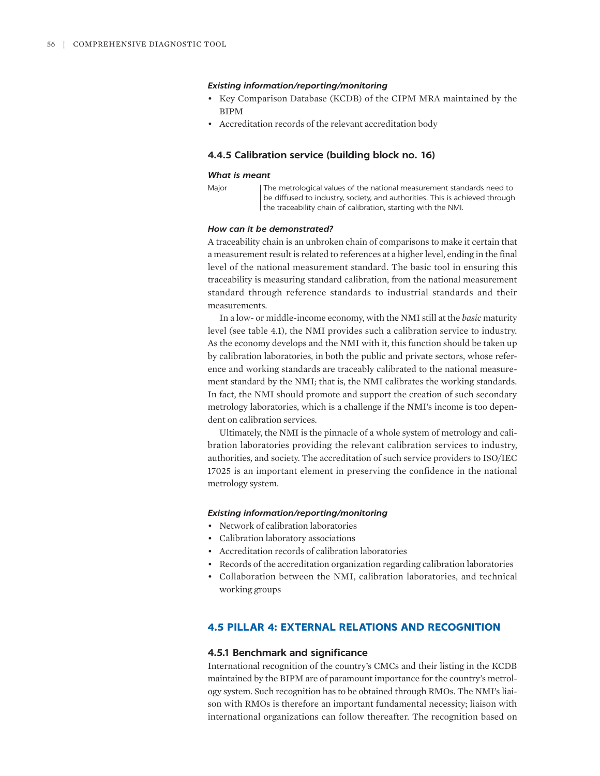#### *Existing information/reporting/monitoring*

- Key Comparison Database (KCDB) of the CIPM MRA maintained by the BIPM
- Accreditation records of the relevant accreditation body

### **4.4.5 Calibration service (building block no. 16)**

### *What is meant*

Major | The metrological values of the national measurement standards need to be diffused to industry, society, and authorities. This is achieved through the traceability chain of calibration, starting with the NMI.

#### *How can it be demonstrated?*

A traceability chain is an unbroken chain of comparisons to make it certain that a measurement result is related to references at a higher level, ending in the final level of the national measurement standard. The basic tool in ensuring this traceability is measuring standard calibration, from the national measurement standard through reference standards to industrial standards and their measurements.

In a low- or middle-income economy, with the NMI still at the *basic* maturity level (see table 4.1), the NMI provides such a calibration service to industry. As the economy develops and the NMI with it, this function should be taken up by calibration laboratories, in both the public and private sectors, whose reference and working standards are traceably calibrated to the national measurement standard by the NMI; that is, the NMI calibrates the working standards. In fact, the NMI should promote and support the creation of such secondary metrology laboratories, which is a challenge if the NMI's income is too dependent on calibration services.

Ultimately, the NMI is the pinnacle of a whole system of metrology and calibration laboratories providing the relevant calibration services to industry, authorities, and society. The accreditation of such service providers to ISO/IEC 17025 is an important element in preserving the confidence in the national metrology system.

### *Existing information/reporting/monitoring*

- Network of calibration laboratories
- Calibration laboratory associations
- Accreditation records of calibration laboratories
- Records of the accreditation organization regarding calibration laboratories
- Collaboration between the NMI, calibration laboratories, and technical working groups

# **4.5 PILLAR 4: EXTERNAL RELATIONS AND RECOGNITION**

### **4.5.1 Benchmark and significance**

International recognition of the country's CMCs and their listing in the KCDB maintained by the BIPM are of paramount importance for the country's metrology system. Such recognition has to be obtained through RMOs. The NMI's liaison with RMOs is therefore an important fundamental necessity; liaison with international organizations can follow thereafter. The recognition based on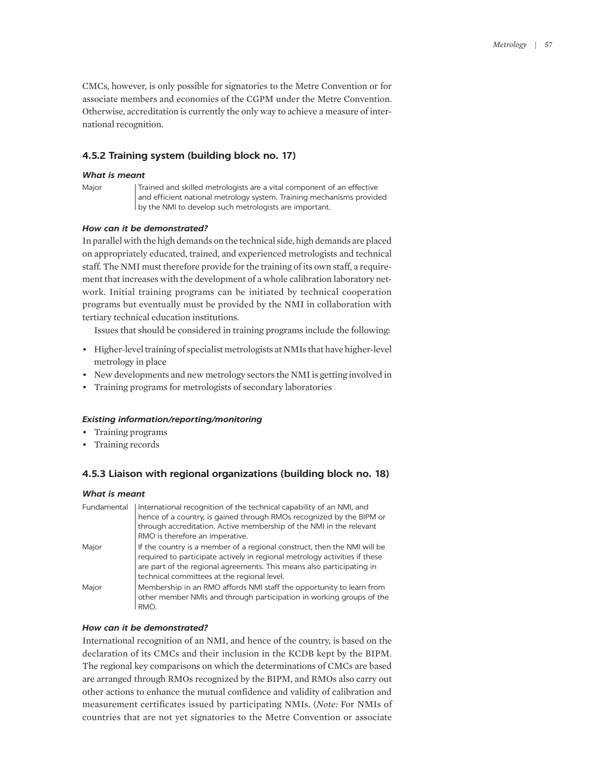CMCs, however, is only possible for signatories to the Metre Convention or for associate members and economies of the CGPM under the Metre Convention. Otherwise, accreditation is currently the only way to achieve a measure of international recognition.

# **4.5.2 Training system (building block no. 17)**

#### *What is meant*

Major | Trained and skilled metrologists are a vital component of an effective and efficient national metrology system. Training mechanisms provided by the NMI to develop such metrologists are important.

### *How can it be demonstrated?*

In parallel with the high demands on the technical side, high demands are placed on appropriately educated, trained, and experienced metrologists and technical staff. The NMI must therefore provide for the training of its own staff, a requirement that increases with the development of a whole calibration laboratory network. Initial training programs can be initiated by technical cooperation programs but eventually must be provided by the NMI in collaboration with tertiary technical education institutions.

Issues that should be considered in training programs include the following:

- Higher-level training of specialist metrologists at NMIs that have higher-level metrology in place
- New developments and new metrology sectors the NMI is getting involved in
- Training programs for metrologists of secondary laboratories

### *Existing information/reporting/monitoring*

- Training programs
- Training records

# **4.5.3 Liaison with regional organizations (building block no. 18)**

#### *What is meant*

| International recognition of the technical capability of an NMI, and       |
|----------------------------------------------------------------------------|
| hence of a country, is gained through RMOs recognized by the BIPM or       |
| through accreditation. Active membership of the NMI in the relevant        |
| RMO is therefore an imperative.                                            |
| If the country is a member of a regional construct, then the NMI will be   |
| required to participate actively in regional metrology activities if these |
| are part of the regional agreements. This means also participating in      |
| technical committees at the regional level.                                |
| Membership in an RMO affords NMI staff the opportunity to learn from       |
| other member NMIs and through participation in working groups of the       |
| RMO.                                                                       |
|                                                                            |

#### *How can it be demonstrated?*

International recognition of an NMI, and hence of the country, is based on the declaration of its CMCs and their inclusion in the KCDB kept by the BIPM. The regional key comparisons on which the determinations of CMCs are based are arranged through RMOs recognized by the BIPM, and RMOs also carry out other actions to enhance the mutual confidence and validity of calibration and measurement certificates issued by participating NMIs. (*Note:* For NMIs of countries that are not yet signatories to the Metre Convention or associate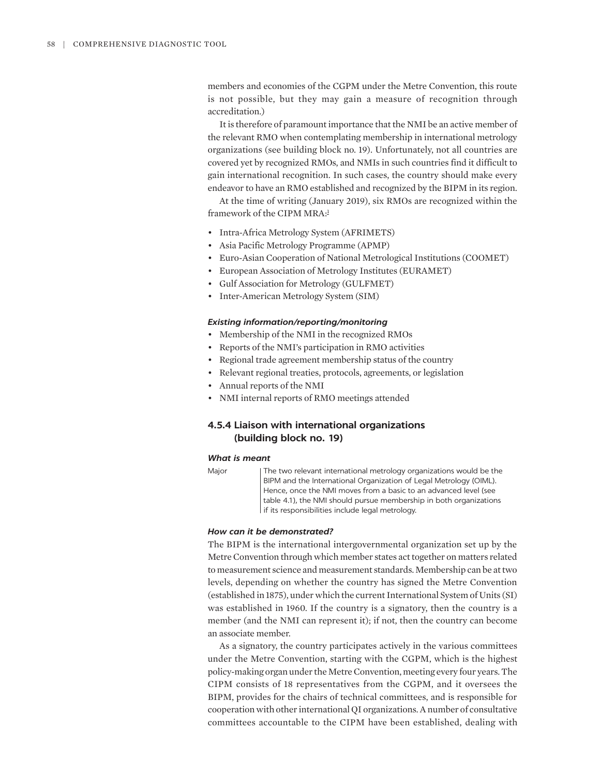members and economies of the CGPM under the Metre Convention, this route is not possible, but they may gain a measure of recognition through accreditation.)

It is therefore of paramount importance that the NMI be an active member of the relevant RMO when contemplating membership in international metrology organizations (see building block no. 19). Unfortunately, not all countries are covered yet by recognized RMOs, and NMIs in such countries find it difficult to gain international recognition. In such cases, the country should make every endeavor to have an RMO established and recognized by the BIPM in its region.

<span id="page-17-0"></span>At the time of writing (January 2019), six RMOs are recognized within the framework of the CIPM MRA:<sup>[1](#page-20-0)</sup>

- Intra-Africa Metrology System (AFRIMETS)
- Asia Pacific Metrology Programme (APMP)
- Euro-Asian Cooperation of National Metrological Institutions (COOMET)
- European Association of Metrology Institutes (EURAMET)
- Gulf Association for Metrology (GULFMET)
- Inter-American Metrology System (SIM)

# *Existing information/reporting/monitoring*

- Membership of the NMI in the recognized RMOs
- Reports of the NMI's participation in RMO activities
- Regional trade agreement membership status of the country
- Relevant regional treaties, protocols, agreements, or legislation
- Annual reports of the NMI
- NMI internal reports of RMO meetings attended

# **4.5.4 Liaison with international organizations (building block no. 19)**

### *What is meant*

Major The two relevant international metrology organizations would be the BIPM and the International Organization of Legal Metrology (OIML). Hence, once the NMI moves from a basic to an advanced level (see table 4.1), the NMI should pursue membership in both organizations If its responsibilities include legal metrology.

#### *How can it be demonstrated?*

The BIPM is the international intergovernmental organization set up by the Metre Convention through which member states act together on matters related to measurement science and measurement standards. Membership can be at two levels, depending on whether the country has signed the Metre Convention (established in 1875), under which the current International System of Units (SI) was established in 1960. If the country is a signatory, then the country is a member (and the NMI can represent it); if not, then the country can become an associate member.

As a signatory, the country participates actively in the various committees under the Metre Convention, starting with the CGPM, which is the highest policy-making organ under the Metre Convention, meeting every four years. The CIPM consists of 18 representatives from the CGPM, and it oversees the BIPM, provides for the chairs of technical committees, and is responsible for cooperation with other international QI organizations. A number of consultative committees accountable to the CIPM have been established, dealing with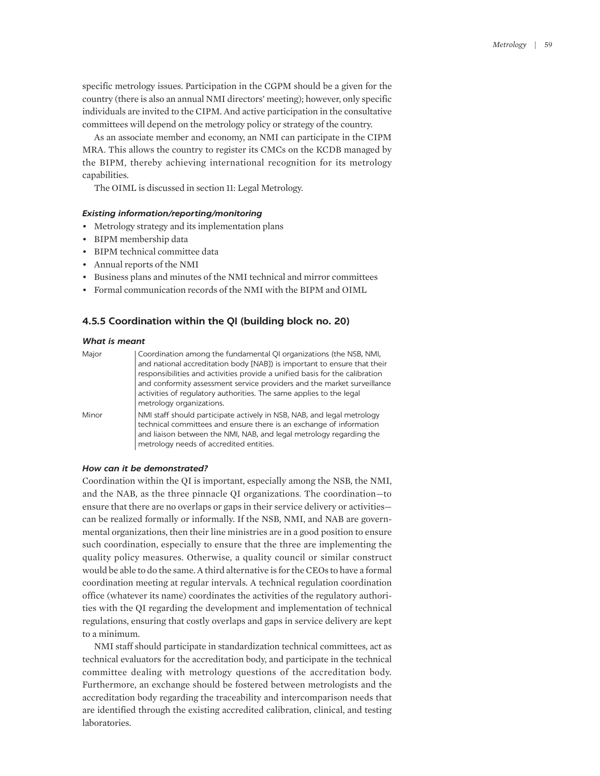specific metrology issues. Participation in the CGPM should be a given for the country (there is also an annual NMI directors' meeting); however, only specific individuals are invited to the CIPM. And active participation in the consultative committees will depend on the metrology policy or strategy of the country.

As an associate member and economy, an NMI can participate in the CIPM MRA. This allows the country to register its CMCs on the KCDB managed by the BIPM, thereby achieving international recognition for its metrology capabilities.

The OIML is discussed in section 11: Legal Metrology.

### *Existing information/reporting/monitoring*

- Metrology strategy and its implementation plans
- BIPM membership data
- BIPM technical committee data
- Annual reports of the NMI
- Business plans and minutes of the NMI technical and mirror committees
- Formal communication records of the NMI with the BIPM and OIML

### **4.5.5 Coordination within the QI (building block no. 20)**

### *What is meant*

| Major | Coordination among the fundamental QI organizations (the NSB, NMI,          |
|-------|-----------------------------------------------------------------------------|
|       | and national accreditation body [NAB]) is important to ensure that their    |
|       | responsibilities and activities provide a unified basis for the calibration |
|       | and conformity assessment service providers and the market surveillance     |
|       | activities of regulatory authorities. The same applies to the legal         |
|       | metrology organizations.                                                    |
| Minor | NMI staff should participate actively in NSB, NAB, and legal metrology      |
|       | technical committees and ensure there is an exchange of information         |
|       | and liaison between the NMI, NAB, and legal metrology regarding the         |
|       | metrology needs of accredited entities.                                     |

# *How can it be demonstrated?*

Coordination within the QI is important, especially among the NSB, the NMI, and the NAB, as the three pinnacle QI organizations. The coordination—to ensure that there are no overlaps or gaps in their service delivery or activities can be realized formally or informally. If the NSB, NMI, and NAB are governmental organizations, then their line ministries are in a good position to ensure such coordination, especially to ensure that the three are implementing the quality policy measures. Otherwise, a quality council or similar construct would be able to do the same. A third alternative is for the CEOs to have a formal coordination meeting at regular intervals. A technical regulation coordination office (whatever its name) coordinates the activities of the regulatory authorities with the QI regarding the development and implementation of technical regulations, ensuring that costly overlaps and gaps in service delivery are kept to a minimum.

NMI staff should participate in standardization technical committees, act as technical evaluators for the accreditation body, and participate in the technical committee dealing with metrology questions of the accreditation body. Furthermore, an exchange should be fostered between metrologists and the accreditation body regarding the traceability and intercomparison needs that are identified through the existing accredited calibration, clinical, and testing laboratories.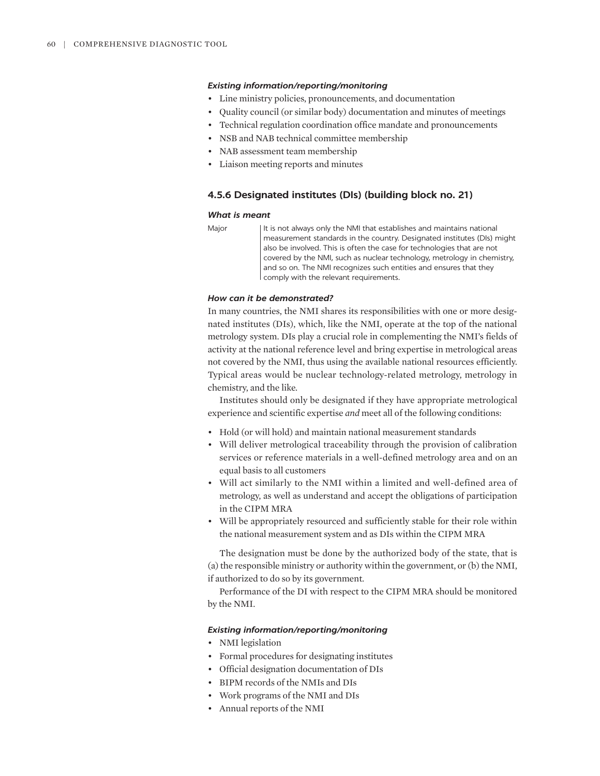### *Existing information/reporting/monitoring*

- Line ministry policies, pronouncements, and documentation
- Quality council (or similar body) documentation and minutes of meetings
- Technical regulation coordination office mandate and pronouncements
- NSB and NAB technical committee membership
- NAB assessment team membership
- Liaison meeting reports and minutes

# **4.5.6 Designated institutes (DIs) (building block no. 21)**

### *What is meant*

Major | It is not always only the NMI that establishes and maintains national measurement standards in the country. Designated institutes (DIs) might also be involved. This is often the case for technologies that are not covered by the NMI, such as nuclear technology, metrology in chemistry, and so on. The NMI recognizes such entities and ensures that they comply with the relevant requirements.

# *How can it be demonstrated?*

In many countries, the NMI shares its responsibilities with one or more designated institutes (DIs), which, like the NMI, operate at the top of the national metrology system. DIs play a crucial role in complementing the NMI's fields of activity at the national reference level and bring expertise in metrological areas not covered by the NMI, thus using the available national resources efficiently. Typical areas would be nuclear technology-related metrology, metrology in chemistry, and the like.

Institutes should only be designated if they have appropriate metrological experience and scientific expertise *and* meet all of the following conditions:

- Hold (or will hold) and maintain national measurement standards
- Will deliver metrological traceability through the provision of calibration services or reference materials in a well-defined metrology area and on an equal basis to all customers
- Will act similarly to the NMI within a limited and well-defined area of metrology, as well as understand and accept the obligations of participation in the CIPM MRA
- Will be appropriately resourced and sufficiently stable for their role within the national measurement system and as DIs within the CIPM MRA

The designation must be done by the authorized body of the state, that is (a) the responsible ministry or authority within the government, or (b) the NMI, if authorized to do so by its government.

Performance of the DI with respect to the CIPM MRA should be monitored by the NMI.

- NMI legislation
- Formal procedures for designating institutes
- Official designation documentation of DIs
- BIPM records of the NMIs and DIs
- Work programs of the NMI and DIs
- Annual reports of the NMI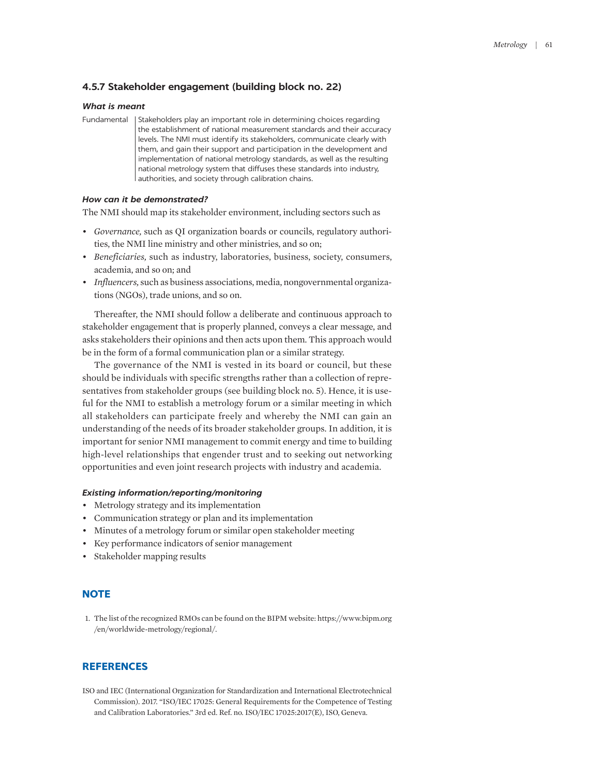# **4.5.7 Stakeholder engagement (building block no. 22)**

### *What is meant*

Fundamental | Stakeholders play an important role in determining choices regarding the establishment of national measurement standards and their accuracy levels. The NMI must identify its stakeholders, communicate clearly with them, and gain their support and participation in the development and implementation of national metrology standards, as well as the resulting national metrology system that diffuses these standards into industry, authorities, and society through calibration chains.

## *How can it be demonstrated?*

The NMI should map its stakeholder environment, including sectors such as

- *Governance,* such as QI organization boards or councils, regulatory authorities, the NMI line ministry and other ministries, and so on;
- *Beneficiaries,* such as industry, laboratories, business, society, consumers, academia, and so on; and
- *Influencers,* such as business associations, media, nongovernmental organizations (NGOs), trade unions, and so on.

Thereafter, the NMI should follow a deliberate and continuous approach to stakeholder engagement that is properly planned, conveys a clear message, and asks stakeholders their opinions and then acts upon them. This approach would be in the form of a formal communication plan or a similar strategy.

The governance of the NMI is vested in its board or council, but these should be individuals with specific strengths rather than a collection of representatives from stakeholder groups (see building block no. 5). Hence, it is useful for the NMI to establish a metrology forum or a similar meeting in which all stakeholders can participate freely and whereby the NMI can gain an understanding of the needs of its broader stakeholder groups. In addition, it is important for senior NMI management to commit energy and time to building high-level relationships that engender trust and to seeking out networking opportunities and even joint research projects with industry and academia.

#### *Existing information/reporting/monitoring*

- Metrology strategy and its implementation
- Communication strategy or plan and its implementation
- Minutes of a metrology forum or similar open stakeholder meeting
- Key performance indicators of senior management
- Stakeholder mapping results

# **NOTE**

<span id="page-20-0"></span>[1.](#page-17-0) [The list of the](#page-17-0) [recognized](#page-17-0) [RMOs can be](#page-17-0) [found on the](#page-17-0) [BIPM](#page-17-0) [website:](#page-17-0) [https://www.bipm.org](https://www.bipm.org/en/worldwide-metrology/regional/) [/en/worldwide-metrology/regional/.](https://www.bipm.org/en/worldwide-metrology/regional/)

### **REFERENCES**

ISO and IEC (International Organization for Standardization and International Electrotechnical Commission). 2017. "ISO/IEC 17025: General Requirements for the Competence of Testing and Calibration Laboratories." 3rd ed. Ref. no. ISO/IEC 17025:2017(E), ISO, Geneva.